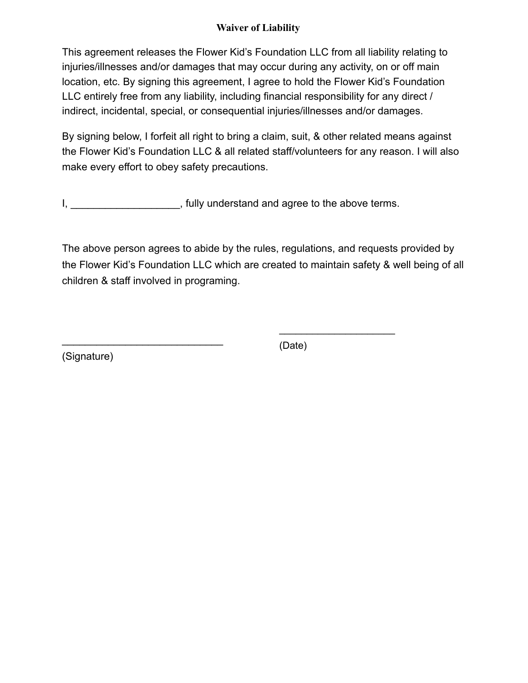## **Waiver of Liability**

This agreement releases the Flower Kid's Foundation LLC from all liability relating to injuries/illnesses and/or damages that may occur during any activity, on or off main location, etc. By signing this agreement, I agree to hold the Flower Kid's Foundation LLC entirely free from any liability, including financial responsibility for any direct / indirect, incidental, special, or consequential injuries/illnesses and/or damages.

By signing below, I forfeit all right to bring a claim, suit, & other related means against the Flower Kid's Foundation LLC & all related staff/volunteers for any reason. I will also make every effort to obey safety precautions.

I, **I** is a set of the above terms.

The above person agrees to abide by the rules, regulations, and requests provided by the Flower Kid's Foundation LLC which are created to maintain safety & well being of all children & staff involved in programing.

(Signature)

 $\_$ 

(Date)

\_\_\_\_\_\_\_\_\_\_\_\_\_\_\_\_\_\_\_\_\_